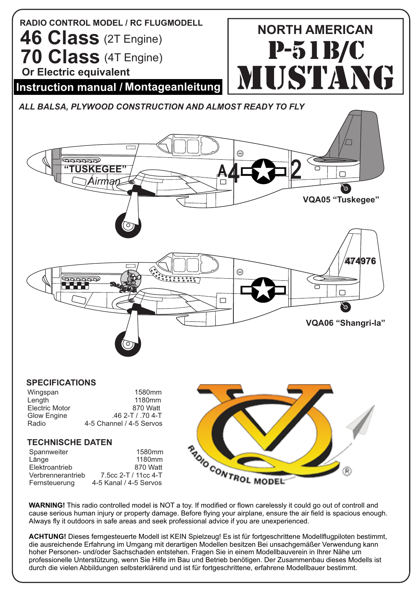

## **SPECIFICATIONS**

| Wingspan              | 1580 <sub>mm</sub>       |
|-----------------------|--------------------------|
| Length                | 1180 <sub>mm</sub>       |
| <b>Electric Motor</b> | 870 Watt                 |
| Glow Engine           | $.462-T/704-T$           |
| Radio                 | 4-5 Channel / 4-5 Servos |
|                       |                          |

## **TECHNISCHE DATEN**

| Spannweiter       | 1580 <sub>mm</sub>     |
|-------------------|------------------------|
| Länge             | 1180 <sub>mm</sub>     |
| Elektroantrieb    | 870 Watt               |
| Verbrennerantrieb | 7.5cc 2-T / 11cc 4-T   |
| Fernsteuerung     | 4-5 Kanal / 4-5 Servos |



cause serious human injury or property damage. Before flying your airplane, ensure the air field is spacious enough. Always fly it outdoors in safe areas and seek professional advice if you are unexperienced.

**ACHTUNG!** Dieses ferngesteuerte Modell ist KEIN Spielzeug! Es ist für fortgeschrittene Modellflugpiloten bestimmt, die ausreichende Erfahrung im Umgang mit derartigen Modellen besitzen Bei unsachgemäßer Verwendung kann hoher Personen- und/oder Sachschaden entstehen. Fragen Sie in einem Modellbauverein in Ihrer Nähe um professionelle Unterstützung, wenn Sie Hilfe im Bau und Betrieb benötigen. Der Zusammenbau dieses Modells ist durch die vielen Abbildungen selbsterklärend und ist für fortgeschrittene, erfahrene Modellbauer bestimmt.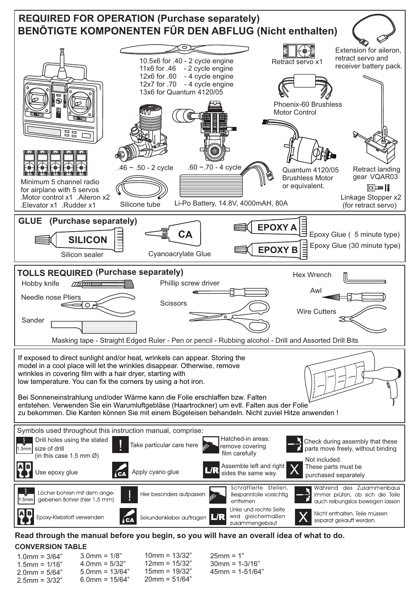

**Read through the manual before you begin, so you will have an overall idea of what to do. CONVERSION TABLE**

| $1.0$ mm = $3/64"$ | $3.0$ mm = 1/8"   | $10 \text{mm} = 13/32$ " | $25 \text{mm} = 1"$         |
|--------------------|-------------------|--------------------------|-----------------------------|
| $1.5$ mm = $1/16"$ | $4.0$ mm = 5/32"  | $12 \text{mm} = 15/32$ " | $30 \text{mm} = 1 - 3/16$ " |
| $2.0$ mm = 5/64"   | $5.0$ mm = 13/64" | $15$ mm = 19/32"         | $45$ mm = 1-51/64"          |
| $2.5$ mm = $3/32"$ | $6.0$ mm = 15/64" | $20 \text{mm} = 51/64"$  |                             |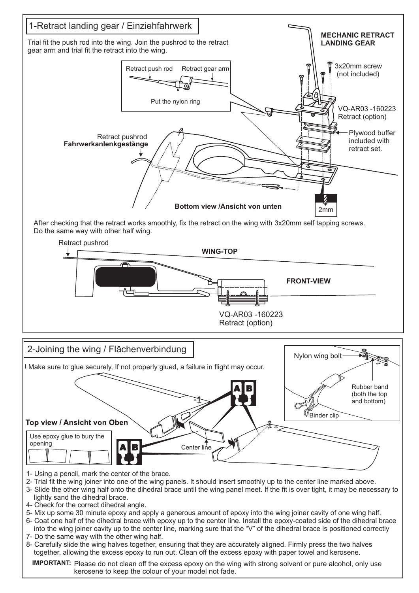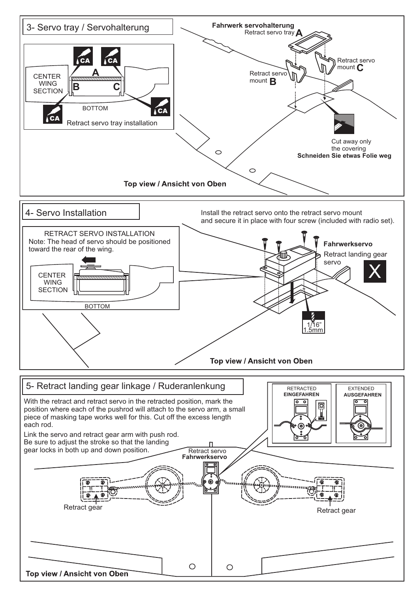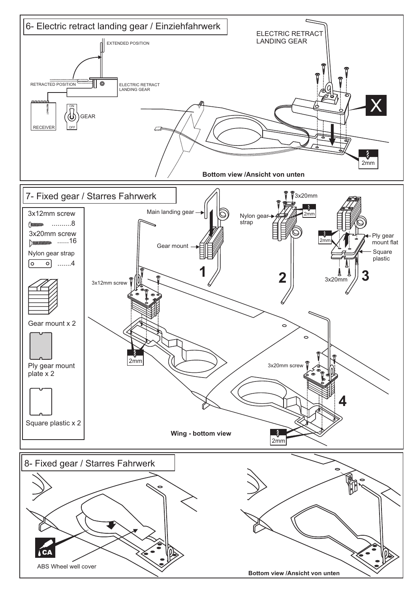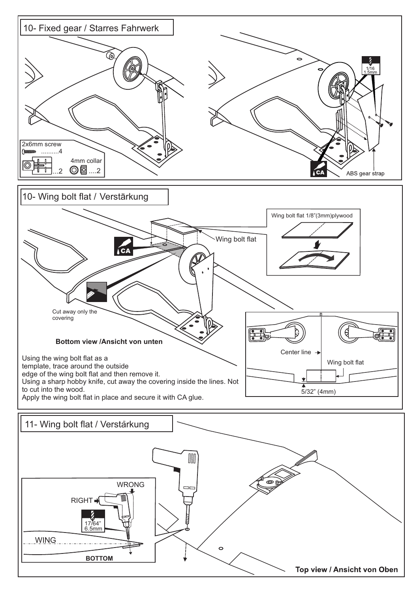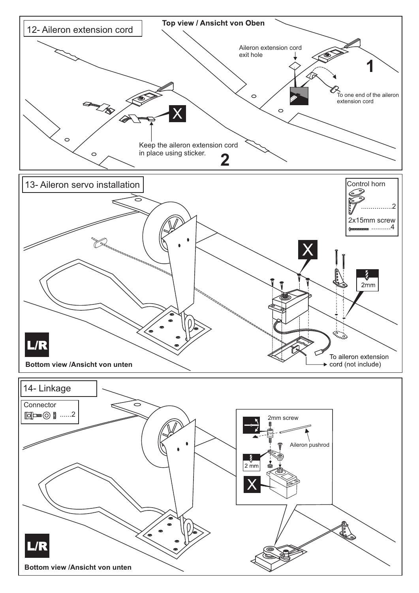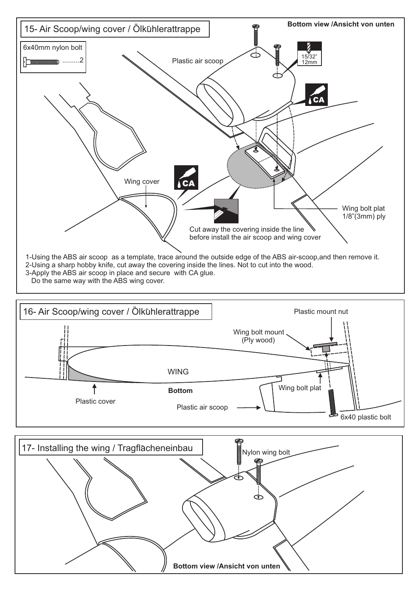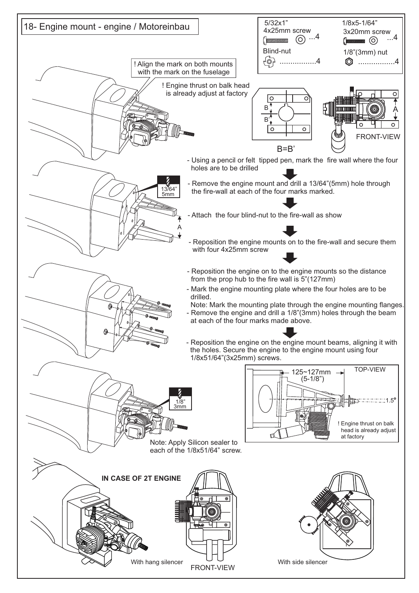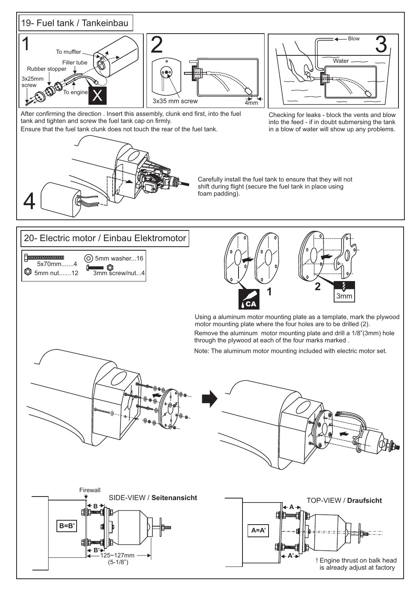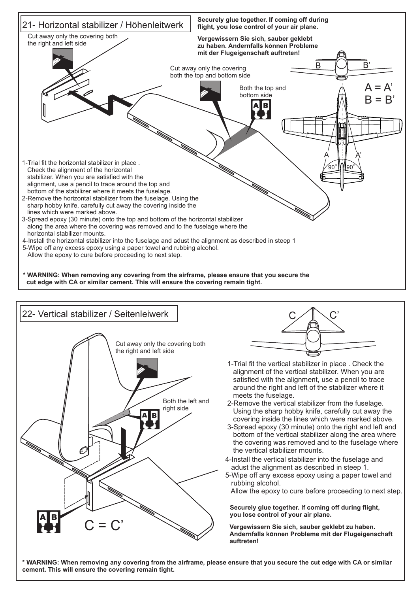





- 1-Trial fit the vertical stabilizer in place . Check the alignment of the vertical stabilizer. When you are satisfied with the alignment, use a pencil to trace around the right and left of the stabilizer where it meets the fuselage.
- 2-Remove the vertical stabilizer from the fuselage. Using the sharp hobby knife, carefully cut away the covering inside the lines which were marked above.
- 3-Spread epoxy (30 minute) onto the right and left and bottom of the vertical stabilizer along the area where the covering was removed and to the fuselage where the vertical stabilizer mounts.
- 4-Install the vertical stabilizer into the fuselage and adust the alignment as described in steep 1.
- 5-Wipe off any excess epoxy using a paper towel and rubbing alcohol.

Allow the epoxy to cure before proceeding to next step.

**Securely glue together. If coming off during flight,**  you lose control of your air plane.

**Vergewissern Sie sich, sauber geklebt zu haben. Andernfalls konnen Probleme mit der Flugeigenschaft auftreten!**

**\* WARNING: When removing any covering from the airframe, please ensure that you secure the cut edge with CA or similar cement. This will ensure the covering remain tight.**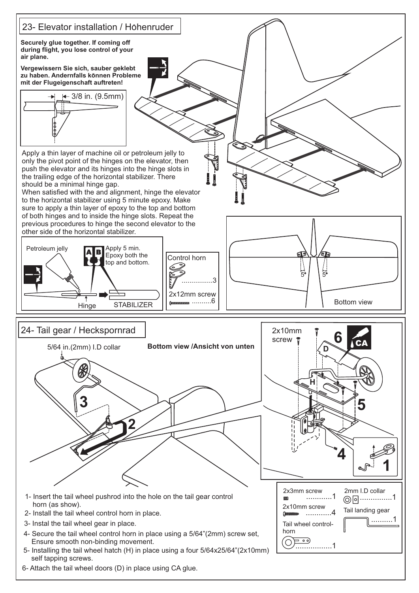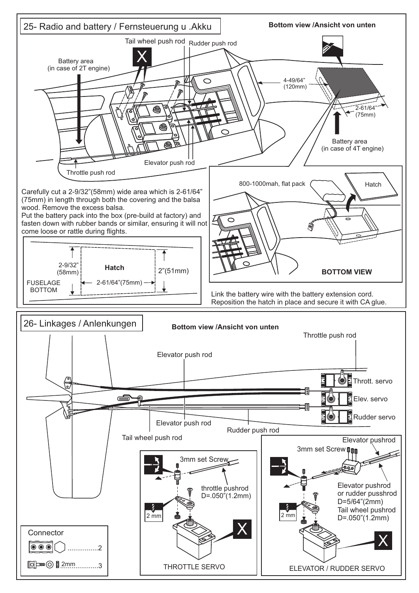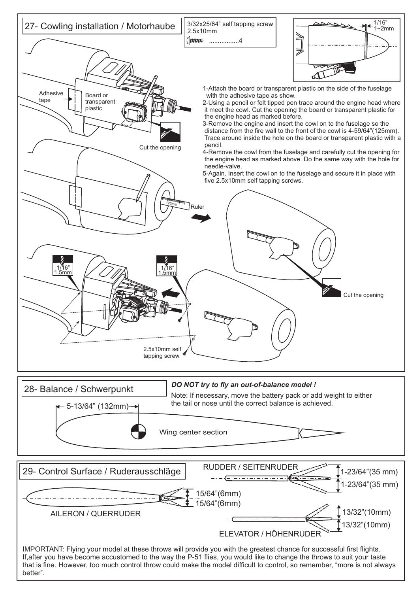